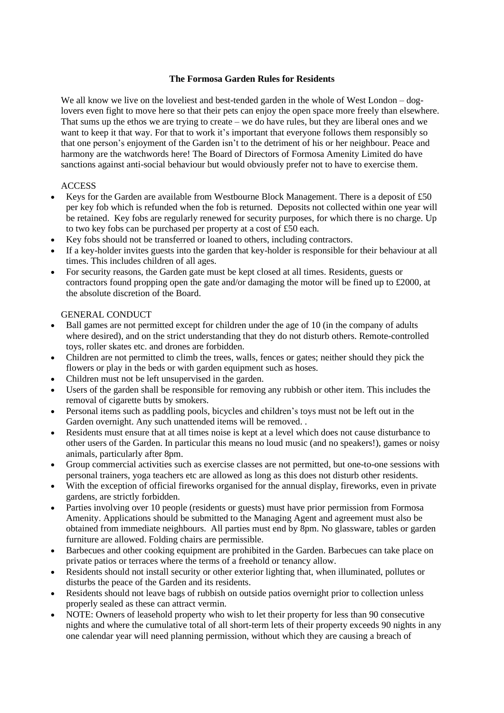### **The Formosa Garden Rules for Residents**

We all know we live on the loveliest and best-tended garden in the whole of West London – doglovers even fight to move here so that their pets can enjoy the open space more freely than elsewhere. That sums up the ethos we are trying to create – we do have rules, but they are liberal ones and we want to keep it that way. For that to work it's important that everyone follows them responsibly so that one person's enjoyment of the Garden isn't to the detriment of his or her neighbour. Peace and harmony are the watchwords here! The Board of Directors of Formosa Amenity Limited do have sanctions against anti-social behaviour but would obviously prefer not to have to exercise them.

## **ACCESS**

- Keys for the Garden are available from Westbourne Block Management. There is a deposit of £50 per key fob which is refunded when the fob is returned. Deposits not collected within one year will be retained. Key fobs are regularly renewed for security purposes, for which there is no charge. Up to two key fobs can be purchased per property at a cost of £50 each.
- Key fobs should not be transferred or loaned to others, including contractors.
- If a key-holder invites guests into the garden that key-holder is responsible for their behaviour at all times. This includes children of all ages.
- For security reasons, the Garden gate must be kept closed at all times. Residents, guests or contractors found propping open the gate and/or damaging the motor will be fined up to £2000, at the absolute discretion of the Board.

#### GENERAL CONDUCT

- Ball games are not permitted except for children under the age of 10 (in the company of adults where desired), and on the strict understanding that they do not disturb others. Remote-controlled toys, roller skates etc. and drones are forbidden.
- Children are not permitted to climb the trees, walls, fences or gates; neither should they pick the flowers or play in the beds or with garden equipment such as hoses.
- Children must not be left unsupervised in the garden.
- Users of the garden shall be responsible for removing any rubbish or other item. This includes the removal of cigarette butts by smokers.
- Personal items such as paddling pools, bicycles and children's toys must not be left out in the Garden overnight. Any such unattended items will be removed. .
- Residents must ensure that at all times noise is kept at a level which does not cause disturbance to other users of the Garden. In particular this means no loud music (and no speakers!), games or noisy animals, particularly after 8pm.
- Group commercial activities such as exercise classes are not permitted, but one-to-one sessions with personal trainers, yoga teachers etc are allowed as long as this does not disturb other residents.
- With the exception of official fireworks organised for the annual display, fireworks, even in private gardens, are strictly forbidden.
- Parties involving over 10 people (residents or guests) must have prior permission from Formosa Amenity. Applications should be submitted to the Managing Agent and agreement must also be obtained from immediate neighbours. All parties must end by 8pm. No glassware, tables or garden furniture are allowed. Folding chairs are permissible.
- Barbecues and other cooking equipment are prohibited in the Garden. Barbecues can take place on private patios or terraces where the terms of a freehold or tenancy allow.
- Residents should not install security or other exterior lighting that, when illuminated, pollutes or disturbs the peace of the Garden and its residents.
- Residents should not leave bags of rubbish on outside patios overnight prior to collection unless properly sealed as these can attract vermin.
- NOTE: Owners of leasehold property who wish to let their property for less than 90 consecutive nights and where the cumulative total of all short-term lets of their property exceeds 90 nights in any one calendar year will need planning permission, without which they are causing a breach of